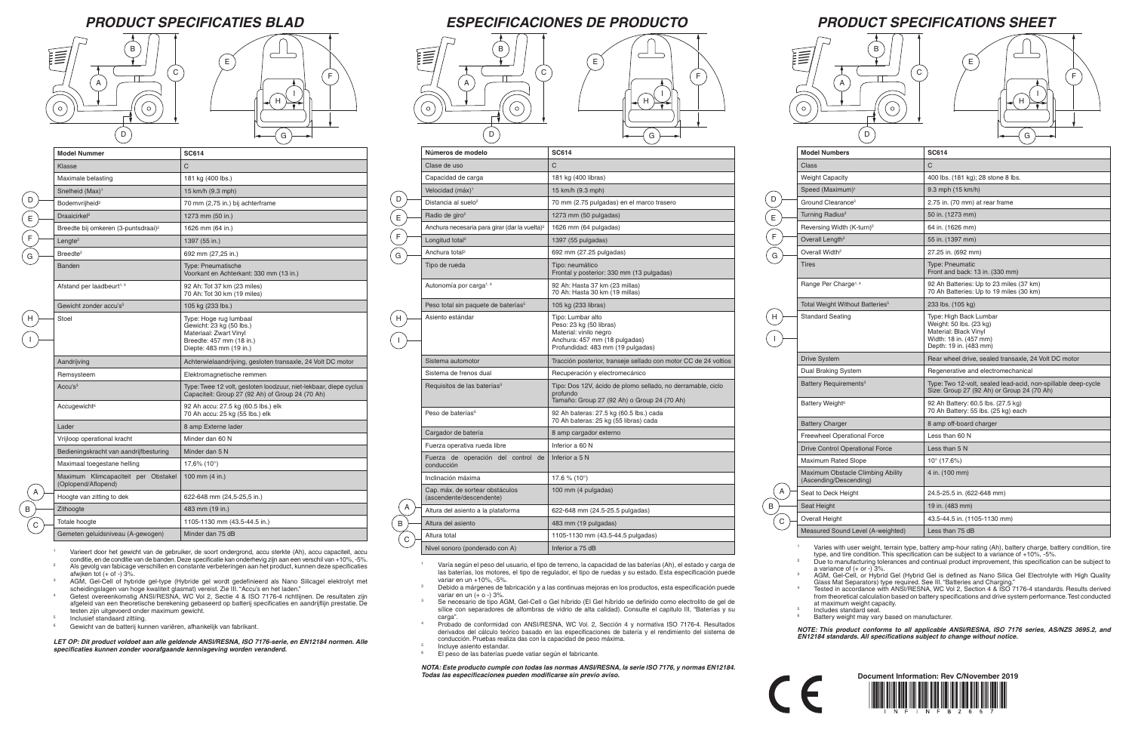I

## *PRODUCT SPECIFICATIONS SHEET*

| <b>Model Numbers</b>                                        | <b>SC614</b>                                                                                                                   |
|-------------------------------------------------------------|--------------------------------------------------------------------------------------------------------------------------------|
| Class                                                       | C                                                                                                                              |
| <b>Weight Capacity</b>                                      | 400 lbs. (181 kg); 28 stone 8 lbs.                                                                                             |
| Speed (Maximum) <sup>1</sup>                                | 9.3 mph (15 km/h)                                                                                                              |
| Ground Clearance <sup>2</sup>                               | 2.75 in. (70 mm) at rear frame                                                                                                 |
| Turning Radius <sup>2</sup>                                 | 50 in. (1273 mm)                                                                                                               |
| Reversing Width (K-turn) <sup>2</sup>                       | 64 in. (1626 mm)                                                                                                               |
| Overall Length <sup>2</sup>                                 | 55 in. (1397 mm)                                                                                                               |
| Overall Width <sup>2</sup>                                  | 27.25 in. (692 mm)                                                                                                             |
| <b>Tires</b>                                                | <b>Type: Pneumatic</b><br>Front and back: 13 in. (330 mm)                                                                      |
| Range Per Charge <sup>1, 4</sup>                            | 92 Ah Batteries: Up to 23 miles (37 km)<br>70 Ah Batteries: Up to 19 miles (30 km)                                             |
| Total Weight Without Batteries <sup>5</sup>                 | 233 lbs. (105 kg)                                                                                                              |
| <b>Standard Seating</b>                                     | Type: High Back Lumbar<br>Weight: 50 lbs. (23 kg)<br>Material: Black Vinyl<br>Width: 18 in. (457 mm)<br>Depth: 19 in. (483 mm) |
| <b>Drive System</b>                                         | Rear wheel drive, sealed transaxle, 24 Volt DC motor                                                                           |
| Dual Braking System                                         | Regenerative and electromechanical                                                                                             |
| Battery Requirements <sup>3</sup>                           | Type: Two 12-volt, sealed lead-acid, non-spillable deep-cycle<br>Size: Group 27 (92 Ah) or Group 24 (70 Ah)                    |
| Battery Weight <sup>6</sup>                                 | 92 Ah Battery: 60.5 lbs. (27.5 kg)<br>70 Ah Battery: 55 lbs. (25 kg) each                                                      |
| <b>Battery Charger</b>                                      | 8 amp off-board charger                                                                                                        |
| <b>Freewheel Operational Force</b>                          | Less than 60 N                                                                                                                 |
| <b>Drive Control Operational Force</b>                      | Less than 5 N                                                                                                                  |
| <b>Maximum Rated Slope</b>                                  | $10^{\circ}$ (17.6%)                                                                                                           |
| Maximum Obstacle Climbing Ability<br>(Ascending/Descending) | 4 in. (100 mm)                                                                                                                 |
| Seat to Deck Height                                         | 24.5-25.5 in. (622-648 mm)                                                                                                     |
| Seat Height                                                 | 19 in. (483 mm)                                                                                                                |
| Overall Height                                              | 43.5-44.5 in. (1105-1130 mm)                                                                                                   |
| Measured Sound Level (A-weighted)                           | Less than 75 dB                                                                                                                |

<sup>1</sup> Varies with user weight, terrain type, battery amp-hour rating (Ah), battery charge, battery condition, tire type, and tire condition. This specification can be subject to a variance of +10%, -5%. Due to manufacturing tolerances and continual product improvement, this specification can be subject to a variance of  $(+ or -)$  3%.

A B

 $\overline{C}$ 

 $\mathsf{H}$ 

 $\mathsf D$ 

E F

 $\epsilon$ 

*PRODUCT SPECIFICATIES BLAD ESPECIFICACIONES DE PRODUCTO*

<sup>3</sup> AGM, Gel-Cell, or Hybrid Gel (Hybrid Gel is defined as Nano Silica Gel Electrolyte with High Quality

- <sup>1</sup> Varía según el peso del usuario, el tipo de terreno, la capacidad de las baterías (Ah), el estado y carga de las baterías, los motores, el tipo de regulador, el tipo de ruedas y su estado. Esta especificación puede variar en un +10%, -5%.
- <sup>2</sup> Debido a márgenes de fabricación y a las continuas mejoras en los productos, esta especificación puede variar en un (+ o -) 3%.
- <sup>3</sup> Se necesario de tipo AGM, Gel-Cell o Gel híbrido (El Gel híbrido se definido como electrolito de gel de sílice con separadores de alfombras de vidrio de alta calidad). Consulte el capitulo III, "Baterías y su carga".
- Probado de conformidad con ANSI/RESNA, WC Vol. 2, Sección 4 y normativa ISO 7176-4. Resultados derivados del cálculo teórico basado en las especificaciones de batería y el rendimiento del sistema de conducción. Pruebas realiza das con la capacidad de peso máxima.
- Incluye asiento estandar.

Glass Mat Separators) type required. See III. "Batteries and Charging." <sup>4</sup> Tested in accordance with ANSI/RESNA, WC Vol 2, Section 4 & ISO 7176-4 standards. Results derived from theoretical calculation based on battery specifications and drive system performance. Test conducted at maximum weight capacity.

 $\frac{5}{6}$  Includes standard seat. Battery weight may vary based on manufacturer.

*NOTE: This product conforms to all applicable ANSI/RESNA, ISO 7176 series, AS/NZS 3695.2, and EN12184 standards. All specifications subject to change without notice.*

| Números de modelo                                           | <b>SC614</b>                                                                                                                                 |
|-------------------------------------------------------------|----------------------------------------------------------------------------------------------------------------------------------------------|
| Clase de uso                                                | C                                                                                                                                            |
| Capacidad de carga                                          | 181 kg (400 libras)                                                                                                                          |
| Velocidad (máx) <sup>1</sup>                                | 15 km/h (9.3 mph)                                                                                                                            |
| Distancia al suelo <sup>2</sup>                             | 70 mm (2.75 pulgadas) en el marco trasero                                                                                                    |
| Radio de giro <sup>2</sup>                                  | 1273 mm (50 pulgadas)                                                                                                                        |
| Anchura necesaria para girar (dar la vuelta) <sup>2</sup>   | 1626 mm (64 pulgadas)                                                                                                                        |
| Longitud total <sup>2</sup>                                 | 1397 (55 pulgadas)                                                                                                                           |
| Anchura total <sup>2</sup>                                  | 692 mm (27.25 pulgadas)                                                                                                                      |
| Tipo de rueda                                               | Tipo: neumático<br>Frontal y posterior: 330 mm (13 pulgadas)                                                                                 |
| Autonomía por carga <sup>1, 4</sup>                         | 92 Ah: Hasta 37 km (23 millas)<br>70 Ah: Hasta 30 km (19 millas)                                                                             |
| Peso total sin paquete de baterías <sup>5</sup>             | 105 kg (233 libras)                                                                                                                          |
| Asiento estándar                                            | Tipo: Lumbar alto<br>Peso: 23 kg (50 libras)<br>Material: vinilo negro<br>Anchura: 457 mm (18 pulgadas)<br>Profundidad: 483 mm (19 pulgadas) |
| Sistema automotor                                           | Tracción posterior, transeje sellado con motor CC de 24 voltios                                                                              |
| Sistema de frenos dual                                      | Recuperación y electromecánico                                                                                                               |
| Requisitos de las baterías <sup>3</sup>                     | Tipo: Dos 12V, ácido de plomo sellado, no derramable, ciclo<br>profundo<br>Tamaño: Group 27 (92 Ah) o Group 24 (70 Ah)                       |
| Peso de baterías <sup>6</sup>                               | 92 Ah bateras: 27.5 kg (60.5 lbs.) cada<br>70 Ah bateras: 25 kg (55 libras) cada                                                             |
| Cargador de batería                                         | 8 amp cargador externo                                                                                                                       |
| Fuerza operativa rueda libre                                | Inferior a 60 N                                                                                                                              |
| Fuerza de operación del control de<br>conducción            | Inferior a 5 N                                                                                                                               |
| Inclinación máxima                                          | 17.6 % (10 $^{\circ}$ )                                                                                                                      |
| Cap. máx. de sortear obstáculos<br>(ascendente/descendente) | 100 mm (4 pulgadas)                                                                                                                          |
| Altura del asiento a la plataforma                          | 622-648 mm (24.5-25.5 pulgadas)                                                                                                              |
| Altura del asiento                                          | 483 mm (19 pulgadas)                                                                                                                         |
| Altura total                                                | 1105-1130 mm (43.5-44.5 pulgadas)                                                                                                            |
| Nivel sonoro (ponderado con A)                              | Inferior a 75 dB                                                                                                                             |

A B C

D E

F

G

H

I

El peso de las baterías puede vatiar según el fabricante.

*NOTA: Este producto cumple con todas las normas ANSI/RESNA, la serie ISO 7176, y normas EN12184. Todas las especificaciones pueden modificarse sin previo aviso.*



 $\epsilon$ 

| <b>Model Nummer</b>                                        | <b>SC614</b>                                                                                                                        |
|------------------------------------------------------------|-------------------------------------------------------------------------------------------------------------------------------------|
| Klasse                                                     | C                                                                                                                                   |
| Maximale belasting                                         | 181 kg (400 lbs.)                                                                                                                   |
| Snelheid (Max) <sup>1</sup>                                | 15 km/h (9.3 mph)                                                                                                                   |
| Bodemvrijheid <sup>2</sup>                                 | 70 mm (2,75 in.) bij achterframe                                                                                                    |
| Draaicirkel <sup>2</sup>                                   | 1273 mm (50 in.)                                                                                                                    |
| Breedte bij omkeren (3-puntsdraai) <sup>2</sup>            | 1626 mm (64 in.)                                                                                                                    |
| Lengte <sup>2</sup>                                        | 1397 (55 in.)                                                                                                                       |
| Breedte <sup>2</sup>                                       | 692 mm (27,25 in.)                                                                                                                  |
| <b>Banden</b>                                              | <b>Type: Pneumatische</b><br>Voorkant en Achterkant: 330 mm (13 in.)                                                                |
| Afstand per laadbeurt <sup>1, 4</sup>                      | 92 Ah: Tot 37 km (23 miles)<br>70 Ah: Tot 30 km (19 miles)                                                                          |
| Gewicht zonder accu's <sup>5</sup>                         | 105 kg (233 lbs.)                                                                                                                   |
| Stoel                                                      | Type: Hoge rug lumbaal<br>Gewicht: 23 kg (50 lbs.)<br>Materiaal: Zwart Vinyl<br>Breedte: 457 mm (18 in.)<br>Diepte: 483 mm (19 in.) |
| Aandrijving                                                | Achterwielaandrijving, gesloten transaxle, 24 Volt DC motor                                                                         |
| Remsysteem                                                 | Elektromagnetische remmen                                                                                                           |
| Accu's $3$                                                 | Type: Twee 12 volt, gesloten loodzuur, niet-lekbaar, diepe cyclus<br>Capaciteit: Group 27 (92 Ah) of Group 24 (70 Ah)               |
| Accugewicht <sup>6</sup>                                   | 92 Ah accu: 27.5 kg (60.5 lbs.) elk<br>70 Ah accu: 25 kg (55 lbs.) elk                                                              |
| Lader                                                      | 8 amp Externe lader                                                                                                                 |
| Vrijloop operational kracht                                | Minder dan 60 N                                                                                                                     |
| Bedieningskracht van aandrijfbesturing                     | Minder dan 5 N                                                                                                                      |
| Maximaal toegestane helling                                | $17,6\%$ (10 $^{\circ}$ )                                                                                                           |
| Maximum Klimcapaciteit per Obstakel<br>(Oplopend/Aflopend) | 100 mm $(4 in.)$                                                                                                                    |
| Hoogte van zitting to dek                                  | 622-648 mm (24,5-25,5 in.)                                                                                                          |
| Zithoogte                                                  | 483 mm (19 in.)                                                                                                                     |
| Totale hoogte                                              | 1105-1130 mm (43.5-44.5 in.)                                                                                                        |
| Gemeten geluidsniveau (A-gewogen)                          | Minder dan 75 dB                                                                                                                    |

<sup>1</sup> Varieert door het gewicht van de gebruiker, de soort ondergrond, accu sterkte (Ah), accu capaciteit, accu conditie, en de conditie van de banden. Deze specificatie kan onderhevig zijn aan een verschil van +10%, -5%.

- <sup>2</sup> Als gevolg van fabicage verschillen en constante verbeteringen aan het product, kunnen deze specificaties afwiken tot  $(+$  of  $-$ ) 3%.
- <sup>3</sup> AGM, Gel-Cell of hybride gel-type (Hybride gel wordt gedefinieerd als Nano Silicagel elektrolyt met scheidingslagen van hoge kwaliteit glasmat) vereist. Zie III. "Accu's en het laden."
- <sup>4</sup> Getest overeenkomstig ANSI/RESNA, WC Vol 2, Sectie 4 & ISO 7176-4 richtlijnen. De resultaten zijn afgeleid van een theoretische berekening gebaseerd op batterij specificaties en aandrijflijn prestatie. De testen zijn uitgevoerd onder maximum gewicht.
- <sup>5</sup> Inclusief standaard zittiing.

*LET OP: Dit product voldoet aan alle geldende ANSI/RESNA, ISO 7176-serie, en EN12184 normen. Alle specificaties kunnen zonder voorafgaande kennisgeving worden veranderd.*





E E

E









|   | F |  |
|---|---|--|
| G |   |  |

|   | F |  |
|---|---|--|
| ì |   |  |

B

D

E

F G

H

I

<sup>6</sup> Gewicht van de batterij kunnen variëren, afhankelijk van fabrikant.